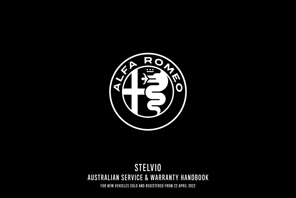

# AUSTRALIAN SERVICE & WARRANTY HANDBOOK STELVIO

FOR NEW VEHICLES SOLD AND REGISTERED FROM 22 APRIL 2022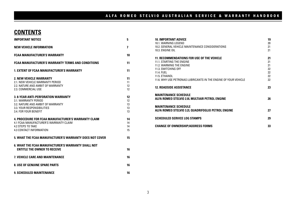## **CONTENTS**

| <b>IMPORTANT NOTICE</b>                                                                                                                                     | 5                          |
|-------------------------------------------------------------------------------------------------------------------------------------------------------------|----------------------------|
| <b>NEW VEHICLE INFORMATION</b>                                                                                                                              | $\overline{\phantom{a}}$   |
| <b>FCAA MANUFACTURER'S WARRANTY</b>                                                                                                                         | 10                         |
| <b>FCAA MANUFACTURER'S WARRANTY TERMS AND CONDITIONS</b>                                                                                                    | 11                         |
| <b>1. EXTENT OF FCAA MANUFACTURER'S WARRANTY</b>                                                                                                            | 11                         |
| <b>2. NEW VEHICLE WARRANTY</b><br>2.1. NEW VEHICLE WARRANTY PERIOD<br>2.2. NATURE AND AMBIT OF WARRANTY<br>2.3. COMMERCIAL USE                              | 11<br>11<br>12<br>12       |
| 3. 8-YEAR ANTI-PERFORATION WARRANTY<br>3.1. WARRANTY PERIOD<br>3.2. NATURE AND AMBIT OF WARRANTY<br>3.3. YOUR RESPONSIBILITIES<br>3.4. FOR YOUR BENEFIT     | 12<br>12<br>13<br>13<br>13 |
| <b>4. PROCEDURE FOR FCAA MANUFACTURER'S WARRANTY CLAIM</b><br>4.1 FCAA MANUFACTURER'S WARRANTY CLAIM<br><b>4.2 STEPS TO TAKE</b><br>4.3 CONTACT INFORMATION | 14<br>14<br>14<br>15       |
| 5. WHAT THE FCAA MANUFACTURER'S WARRANTY DOES NOT COVER                                                                                                     | 15                         |
| <b>6. WHAT THE FCAA MANUFACTURER'S WARRANTY SHALL NOT</b><br><b>FNTITLE THE OWNER TO RECEIVE</b>                                                            | 16                         |
| 7. VEHICLE CARE AND MAINTENANCE                                                                                                                             | 16                         |
| <b>8. USE OF GENUINE SPARE PARTS</b>                                                                                                                        | 16                         |
| <b>9. SCHEDULED MAINTENANCE</b>                                                                                                                             | 16                         |

| <b>10. IMPORTANT ADVICE</b>                                     | 19 |
|-----------------------------------------------------------------|----|
| 10.1. WARNING LEGEND                                            | 20 |
| 10.2. GENERAL VEHICLE MAINTENANCE CONSIDERATIONS                | 21 |
| 10.3 FNGINE OIL                                                 | 21 |
|                                                                 |    |
| 11. RECOMMENDATIONS FOR USE OF THE VEHICLE                      | 21 |
| 11.1 STARTING THE ENGINE                                        | 21 |
| 11.2 WARMING THE ENGINE                                         | 21 |
| 11.3. SWITCHING OFF                                             | 22 |
| 11.4 FUFL                                                       | 22 |
| 11.5 FTHANOL                                                    | 22 |
| 11.6. WHY USE PETRONAS LUBRICANTS IN THE ENGINE OF YOUR VEHICLE | 22 |
| <b>12. ROADSIDE ASSISTANCE</b>                                  | 23 |
| <b>MAINTENANCE SCHEDULE</b>                                     |    |
| ALFA ROMEO STELVIO 2.0L MULTIAIR PETROL ENGINE                  | 26 |
| <b>MAINTENANCE SCHEDULE</b>                                     |    |
| ALFA ROMEO STELVIO 3.2L QUADRIFOGLIO PETROL ENGINE              | 27 |
|                                                                 |    |
| <b>SCHEDULED SERVICE LOG STAMPS</b>                             | 29 |
|                                                                 |    |
| <b>CHANGE OF OWNERSHIP/ADDRESS FORMS</b>                        | 33 |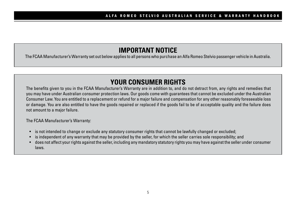## **IMPORTANT NOTICE**

The FCAA Manufacturer's Warranty set out below applies to all persons who purchase an Alfa Romeo Stelvio passenger vehicle in Australia.

# **YOUR CONSUMER RIGHTS**

The benefits given to you in the FCAA Manufacturer's Warranty are in addition to, and do not detract from, any rights and remedies that you may have under Australian consumer protection laws. Our goods come with guarantees that cannot be excluded under the Australian Consumer Law. You are entitled to a replacement or refund for a major failure and compensation for any other reasonably foreseeable loss or damage. You are also entitled to have the goods repaired or replaced if the goods fail to be of acceptable quality and the failure does not amount to a major failure.

The FCAA Manufacturer's Warranty:

- is not intended to change or exclude any statutory consumer rights that cannot be lawfully changed or excluded;
- is independent of any warranty that may be provided by the seller, for which the seller carries sole responsibility; and
- does not affect your rights against the seller, including any mandatory statutory rights you may have against the seller under consumer laws.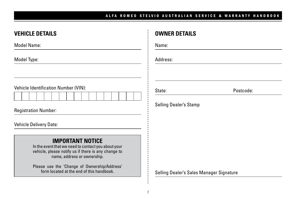| <b>VEHICLE DETAILS</b>                                                                                                                                               | <b>OWNER DETAILS</b>                                 |
|----------------------------------------------------------------------------------------------------------------------------------------------------------------------|------------------------------------------------------|
| Model Name:                                                                                                                                                          | Name:                                                |
|                                                                                                                                                                      | Address:                                             |
| Vehicle Identification Number (VIN):<br><b>Registration Number:</b>                                                                                                  | State:<br>Postcode:<br><b>Selling Dealer's Stamp</b> |
| <b>Vehicle Delivery Date:</b>                                                                                                                                        |                                                      |
| <b>IMPORTANT NOTICE</b><br>In the event that we need to contact you about your<br>vehicle, please notify us if there is any change to<br>name, address or ownership. |                                                      |
| Please use the 'Change of Ownership/Address'<br>form located at the end of this handbook.                                                                            | Selling Dealer's Sales Manager Signature             |
|                                                                                                                                                                      |                                                      |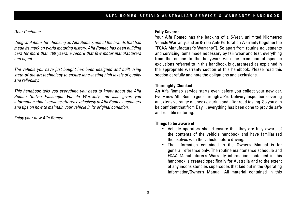#### *Dear Customer,*

*Congratulations for choosing an Alfa Romeo, one of the brands that has made its mark on world motoring history. Alfa Romeo has been building cars for more than 100 years, a record that few motor manufacturers can equal.*

*The vehicle you have just bought has been designed and built using state-of-the-art technology to ensure long-lasting high levels of quality and reliability.*

*This handbook tells you everything you need to know about the Alfa Romeo Stelvio Passenger Vehicle Warranty and also gives you information about services offered exclusively to Alfa Romeo customers and tips on how to maintain your vehicle in its original condition.*

*Enjoy your new Alfa Romeo.*

#### **Fully Covered**

Your Alfa Romeo has the backing of a 5-Year, unlimited kilometres Vehicle Warranty, and an 8-Year Anti-Perforation Warranty (together the "FCAA Manufacturer's Warranty"). So apart from routine adjustments and servicing items made necessary by fair wear and tear, everything from the engine to the bodywork with the exception of specific exclusions referred to in this handbook is guaranteed as explained in the appropriate warranty section of this handbook. Please read this section carefully and note the obligations and exclusions.

#### **Thoroughly Checked**

An Alfa Romeo service starts even before you collect your new car. Every new Alfa Romeo goes through a Pre-Delivery Inspection covering an extensive range of checks, during and after road testing. So you can be confident that from Day 1, everything has been done to provide safe and reliable motoring.

#### **Things to be aware of**

- Vehicle operators should ensure that they are fully aware of the contents of the vehicle handbook and have familiarised themselves with the vehicle before driving.
- The information contained in the Owner's Manual is for general reference only. The routine maintenance schedule and FCAA Manufacturer's Warranty information contained in this handbook is created specifically for Australia and to the extent of any inconsistencies supersedes that laid out in the Operating Information/Owner's Manual. All material contained in this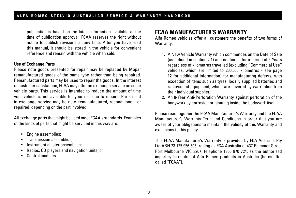publication is based on the latest information available at the time of publication approval. FCAA reserves the right without notice to publish revisions at any time. After you have read this manual, it should be stored in the vehicle for convenient reference and remain with the vehicle when sold.

#### **Use of Exchange Parts**

Please note goods presented for repair may be replaced by Mopar remanufactured goods of the same type rather than being repaired. Remanufactured parts may be used to repair the goods. In the interest of customer satisfaction, FCAA may offer an exchange service on some vehicle parts. This service is intended to reduce the amount of time your vehicle is not available for your use due to repairs. Parts used in exchange service may be new, remanufactured, reconditioned, or repaired, depending on the part involved.

All exchange parts that might be used meet FCAA's standards. Examples of the kinds of parts that might be serviced in this way are:

- Engine assemblies;
- Transmission assemblies;
- Instrument cluster assemblies:
- Radios, CD players and navigation units; or
- Control modules.

## **FCAA MANUFACTURER'S WARRANTY**

Alfa Romeo vehicles offer all customers the benefits of two forms of Warranty:

- 1. A New Vehicle Warranty which commences on the Date of Sale (as defined in section 2.1) and continues for a period of 5-Years regardless of kilometres travelled (excluding "Commercial Use" vehicles, which are limited to 200,000 kilometres - see page 12 for additional information) for manufacturing defects, with exception of items such as tyres, locally supplied batteries and radio/sound equipment, which are covered by warranties from their individual supplier.
- 2. An 8-Year Anti-Perforation Warranty against perforation of the bodywork by corrosion originating inside the bodywork itself.

Please read together the FCAA Manufacturer's Warranty and the FCAA Manufacturer's Warranty Term and Conditions in order that you are aware of your obligations to maintain the validity of this Warranty and exclusions to this policy.

This FCAA Manufacturer's Warranty is provided by FCA Australia Pty Ltd ABN 23 125 956 505 trading as FCA Australia of 437 Plummer Street Port Melbourne VIC 3207, telephone 1800 870 724, as the authorised importer/distributor of Alfa Romeo products in Australia (hereinafter called "FCAA").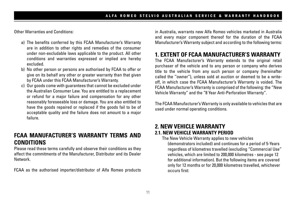Other Warranties and Conditions:

- a) The benefits conferred by this FCAA Manufacturer's Warranty are in addition to other rights and remedies of the consumer under non-excludable laws applicable to the product. All other conditions and warranties expressed or implied are hereby excluded.
- b) No other person or persons are authorised by FCAA to offer or give on its behalf any other or greater warranty than that given by FCAA under this FCAA Manufacturer's Warranty.
- c) Our goods come with guarantees that cannot be excluded under the Australian Consumer Law. You are entitled to a replacement or refund for a major failure and compensation for any other reasonably foreseeable loss or damage. You are also entitled to have the goods repaired or replaced if the goods fail to be of acceptable quality and the failure does not amount to a major failure.

## **FCAA MANUFACTURER'S WARRANTY TERMS AND CONDITIONS**

Please read these terms carefully and observe their conditions as they affect the commitments of the Manufacturer, Distributor and its Dealer Network.

FCAA as the authorised importer/distributor of Alfa Romeo products

in Australia, warrants new Alfa Romeo vehicles marketed in Australia and every major component thereof for the duration of the FCAA Manufacturer's Warranty subject and according to the following terms:

## **1. EXTENT OF FCAA MANUFACTURER'S WARRANTY**

The FCAA Manufacturer's Warranty extends to the original retail purchaser of the vehicle and to any person or company who derives title to the vehicle from any such person or company (hereinafter called the ''owner''), unless sold at auction or deemed to be a writeoff, in which case the FCAA Manufacturer's Warranty is voided. The FCAA Manufacturer's Warranty is comprised of the following: the "New Vehicle Warranty" and the "8 Year Anti-Perforation Warranty".

The FCAA Manufacturer's Warranty is only available to vehicles that are used under normal operating conditions.

### **2. NEW VEHICLE WARRANTY 2.1. NEW VEHICLE WARRANTY PERIOD**

The New Vehicle Warranty applies to new vehicles (demonstrators included) and continues for a period of 5-Years regardless of kilometres travelled (excluding "Commercial Use" vehicles, which are limited to 200,000 kilometres - see page 12 for additional information). But the following items are covered only for 12 months or for 20,000 kilometres travelled, whichever occurs first: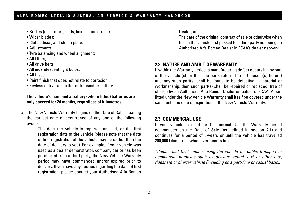- Brakes (disc rotors, pads, linings, and drums);
- Wiper blades;
- Clutch discs; and clutch plate;
- Adjustments;
- Tyre balancing and wheel alignment;
- All filters;
- All drive belts;
- All incandescent light bulbs:
- All fuses;
- Paint finish that does not relate to corrosion;
- Keyless entry transmitter or transmitter battery.

#### **The vehicle's main and auxiliary (where fitted) batteries are only covered for 24 months, regardless of kilometres.**

- a) The New Vehicle Warranty begins on the Date of Sale, meaning the earliest date of occurrence of any one of the following events:
	- i. The date the vehicle is reported as sold, or the first registration date of the vehicle (please note that the date of first registration of the vehicle may be earlier than the date of delivery to you). For example, if your vehicle was used as a dealer demonstrator, company car or has been purchased from a third party, the New Vehicle Warranty period may have commenced and/or expired prior to delivery. If you have any queries regarding the date of first registration, please contact your Authorised Alfa Romeo

Dealer; and

ii. The date of the original contract of sale or otherwise when title in the vehicle first passed to a third party not being an Authorised Alfa Romeo Dealer in FCAA's dealer network.

### **2.2. NATURE AND AMBIT OF WARRANTY**

If within the Warranty period, a manufacturing defect occurs in any part of the vehicle (other than the parts referred to in Clause 5(c) hereof) and any such part(s) shall be found to be defective in material or workmanship, then such part(s) shall be repaired or replaced, free of charge by an Authorised Alfa Romeo Dealer on behalf of FCAA. A part fitted under the New Vehicle Warranty shall itself be covered under the same until the date of expiration of the New Vehicle Warranty.

#### **2.3. COMMERCIAL USE**

If your vehicle is used for Commercial Use the Warranty period commences on the Date of Sale (as defined in section 2.1) and continues for a period of 5-years or until the vehicle has travelled 200,000 kilometres, whichever occurs first.

*"Commercial Use" means using the vehicle for public transport or commercial purposes such as delivery, rental, taxi or other hire, rideshare or charter vehicle (including on a part-time or casual basis).*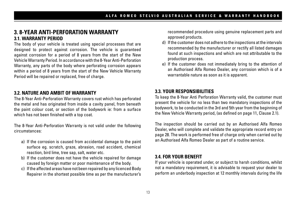### **3. 8-YEAR ANTI-PERFORATION WARRANTY 3.1. WARRANTY PERIOD**

The body of your vehicle is treated using special processes that are designed to protect against corrosion. The vehicle is guaranteed against corrosion for a period of 8 years from the start of the New Vehicle Warranty Period. In accordance with the 8-Year Anti-Perforation Warranty, any parts of the body where perforating corrosion appears within a period of 8 years from the start of the New Vehicle Warranty Period will be repaired or replaced, free of charge.

### **3.2. NATURE AND AMBIT OF WARRANTY**

The 8-Year Anti-Perforation Warranty covers rust which has perforated the metal and has originated from inside a cavity panel, from beneath the paint colour coat, or section of the bodywork ie: from a surface which has not been finished with a top coat.

The 8-Year Anti-Perforation Warranty is not valid under the following circumstances:

- a) If the corrosion is caused from accidental damage to the paint surface eg. scratch, graze, abrasion, road accident, chemical reaction, bird lime, tree sap, salt, water etc.
- b) If the customer does not have the vehicle repaired for damage caused by foreign matter or poor maintenance of the body.
- c) If the affected areas have not been repaired by any licenced Body Repairer in the shortest possible time as per the manufacturer's

recommended procedure using genuine replacement parts and approved products.

- d) If the customer does not adhere to the inspections at the intervals recommended by the manufacturer or rectify all listed damages found at such inspections and which are not attributable to the production process.
- e) If the customer does not immediately bring to the attention of an Authorised Alfa Romeo Dealer, any corrosion which is of a warrantable nature as soon as it is apparent.

#### **3.3. YOUR RESPONSIBILITIES**

To keep the 8-Year Anti Perforation Warranty valid, the customer must present the vehicle for no less than two mandatory inspections of the bodywork, to be conducted in the 3rd and 5th year from the beginning of the New Vehicle Warranty period, (as defined on page 11, Clause 2.1).

The inspection should be carried out by an Authorised Alfa Romeo Dealer, who will complete and validate the appropriate record entry on page 28. The work is performed free of charge only when carried out by an Authorised Alfa Romeo Dealer as part of a routine service.

#### **3.4. FOR YOUR BENEFIT**

If your vehicle is operated under, or subject to harsh conditions, whilst not a mandatory requirement, it is advisable to request your dealer to perform an underbody inspection at 12 monthly intervals during the life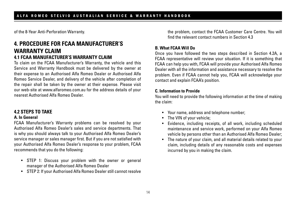of the 8-Year Anti-Perforation Warranty.

## **4. PROCEDURE FOR FCAA MANUFACTURER'S WARRANTY CLAIM 4.1 FCAA MANUFACTURER'S WARRANTY CLAIM**

To claim on the FCAA Manufacturer's Warranty, the vehicle and this Service and Warranty Handbook must be delivered by the owner at their expense to an Authorised Alfa Romeo Dealer or Authorised Alfa Romeo Service Dealer, and delivery of the vehicle after completion of the repair shall be taken by the owner at their expense. Please visit our web-site at www.alfaromeo.com.au for the address details of your nearest Authorised Alfa Romeo Dealer.

#### **4.2 STEPS TO TAKE A. In General**

FCAA Manufacturer's Warranty problems can be resolved by your Authorised Alfa Romeo Dealer's sales and service departments. That is why you should always talk to your Authorised Alfa Romeo Dealer's service manager or sales manager first. But if you are not satisfied with your Authorised Alfa Romeo Dealer's response to your problem, FCAA recommends that you do the following:

- STEP 1: Discuss your problem with the owner or general manager of the Authorised Alfa Romeo Dealer
- STEP 2: If your Authorised Alfa Romeo Dealer still cannot resolve

the problem, contact the FCAA Customer Care Centre. You will find the relevant contact numbers in Section 4.3

#### **B. What FCAA Will Do**

Once you have followed the two steps described in Section 4.2A, a FCAA representative will review your situation. If it is something that FCAA can help you with, FCAA will provide your Authorised Alfa Romeo Dealer with all the information and assistance necessary to resolve the problem. Even if FCAA cannot help you, FCAA will acknowledge your contact and explain FCAA's position.

#### **C. Information to Provide**

You will need to provide the following information at the time of making the claim:

- Your name, address and telephone number;
- The VIN of your vehicle;
- Evidence, including receipts, of all work, including scheduled maintenance and service work, performed on your Alfa Romeo vehicle by persons other than an Authorised Alfa Romeo Dealer;
- The nature of your claim, and all material details related to your claim, including details of any reasonable costs and expenses incurred by you in making the claim.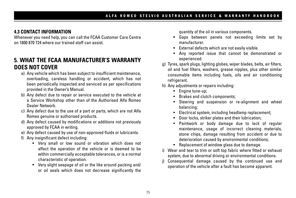### **4.3 CONTACT INFORMATION**

Whenever you need help, you can call the FCAA Customer Care Centre on 1800 870 724 where our trained staff can assist.

## **5. WHAT THE FCAA MANUFACTURER'S WARRANTY DOES NOT COVER**

- a) Any vehicle which has been subject to insufficient maintenance, overloading, careless handling or accident, which has not been periodically inspected and serviced as per specifications provided in the Owner's Manual.
- b) Any defect due to repair or service executed to the vehicle at a Service Workshop other than of the Authorised Alfa Romeo Dealer Network.
- c) Any defect due to the use of a part or parts, which are not Alfa Romeo genuine or authorised products.
- d) Any defect caused by modifications or additions not previously approved by FCAA in writing.
- e) Any defect caused by use of non-approved fluids or lubricants.
- f) Any insignificant defect including:
	- Very small or low sound or vibration which does not affect the operation of the vehicle or is deemed to be within commercially acceptable tolerances, or is a normal characteristic of operation.
	- Very slight seepage of oil or the like around packing and/ or oil seals which does not decrease significantly the

quantity of the oil in various components.

- Gaps between panels not exceeding limits set by manufacturer.
- External defects which are not easily visible.
- Any reported issue that cannot be demonstrated or experienced.
- g) Tyres, spark plugs, lighting globes, wiper blades, belts, air filters, oil and fuel filters, washers, grease nipples, plus other similar consumable items including fuels, oils and air conditioning refrigerant.
- h) Any adjustments or repairs including:
	- Engine tune-up;
	- Brakes and clutch components;
	- Steering and suspension or re-alignment and wheel balancing;
	- Electrical system, including headlamp replacement;
	- Door locks, striker plates and their lubrication;
	- Paintwork or body damage due to lack of regular maintenance, usage of incorrect cleaning materials, stone chips, damage resulting from accident or due to deterioration caused by environmental conditions;
	- Replacement of window glass due to damage.
- i) Wear and tear to trim or soft top fabric where fitted or exhaust system, due to abnormal driving or environmental conditions.
- j) Consequential damage caused by the continued use and operation of the vehicle after a fault has become apparent.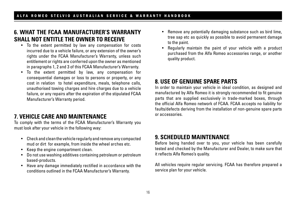## **6. WHAT THE FCAA MANUFACTURER'S WARRANTY SHALL NOT ENTITLE THE OWNER TO RECEIVE**

- To the extent permitted by law any compensation for costs incurred due to a vehicle failure, or any extension of the owner's rights under the FCAA Manufacturer's Warranty, unless such entitlement or rights are conferred upon the owner as mentioned in paragraphs 1, 2 and 3 of this FCAA Manufacturer's Warranty.
- To the extent permitted by law, any compensation for consequential damages or loss to persons or property, or any cost in relation to hotel expenditure, meals, telephone calls, unauthorised towing charges and hire charges due to a vehicle failure, or any repairs after the expiration of the stipulated FCAA Manufacturer's Warranty period.

## **7. VEHICLE CARE AND MAINTENANCE**

To comply with the terms of the FCAA Manufacturer's Warranty you must look after your vehicle in the following way:

- Check and clean the vehicle regularly and remove any compacted mud or dirt for example, from inside the wheel arches etc.
- Keep the engine compartment clean.
- Do not use washing additives containing petroleum or petroleum based-products.
- Have any damage immediately rectified in accordance with the conditions outlined in the FCAA Manufacturer's Warranty.
- Remove any potentially damaging substance such as bird lime, tree sap etc as quickly as possible to avoid permanent damage to the paint.
- Regularly maintain the paint of your vehicle with a product purchased from the Alfa Romeo accessories range, or another quality product.

## **8. USE OF GENUINE SPARE PARTS**

In order to maintain your vehicle in ideal condition, as designed and manufactured by Alfa Romeo it is strongly recommended to fit genuine parts that are supplied exclusively in trade-marked boxes, through the official Alfa Romeo network of FCAA. FCAA accepts no liability for faults/defects deriving from the installation of non-genuine spare parts or accessories.

## **9. SCHEDULED MAINTENANCE**

Before being handed over to you, your vehicle has been carefully tested and checked by the Manufacturer and Dealer, to make sure that it reflects Alfa Romeo's quality.

All vehicles require regular servicing. FCAA has therefore prepared a service plan for your vehicle.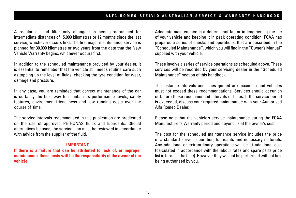A regular oil and filter only change has been programmed for intermediate distances of 15,000 kilometres or 12 months since the last service, whichever occurs first. The first major maintenance service is planned for 30,000 kilometres or two years from the date that the New Vehicle Warranty begins, whichever occurs first.

In addition to the scheduled maintenance provided by your dealer, it is essential to remember that the vehicle still needs routine care such as topping up the level of fluids, checking the tyre condition for wear, damage and pressure.

In any case, you are reminded that correct maintenance of the car is certainly the best way to maintain its performance levels, safety features, environment-friendliness and low running costs over the course of time.

The service intervals recommended in this publication are predicated on the use of approved PETRONAS fluids and lubricants. Should alternatives be used, the service plan must be reviewed in accordance with advice from the supplier of the fluid.

#### **IMPORTANT**

**If there is a failure that can be attributed to lack of, or improper maintenance, these costs will be the responsibility of the owner of the vehicle.**

Adequate maintenance is a determinant factor in lengthening the life of your vehicle and keeping it in peak operating condition. FCAA has prepared a series of checks and operations, that are described in the "Scheduled Maintenance'', which you will find in the "Owner's Manual'' supplied with your vehicle.

These involve a series of service operations as scheduled above. These services will be recorded by your servicing dealer in the "Scheduled Maintenance" section of this handbook.

The distance intervals and times quoted are maximum and vehicles must not exceed these recommendations. Services should occur on or before these recommended intervals or times. If the service period is exceeded, discuss your required maintenance with your Authorised Alfa Romeo Dealer.

Please note that the vehicle's service maintenance during the FCAA Manufacturer's Warranty period and beyond, is at the owner's cost.

The cost for the scheduled maintenance service includes the price of a standard service operation, lubricants and necessary materials. Any additional or extraordinary operations will be at additional cost (calculated in accordance with the labour rates and spare parts price list in force at the time). However they will not be performed without first being authorised by you.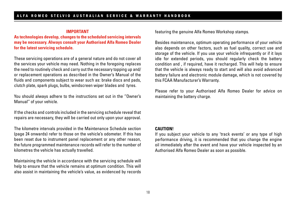#### **IMPORTANT**

**As technologies develop, changes to the scheduled servicing intervals may be necessary. Always consult your Authorised Alfa Romeo Dealer for the latest servicing schedule.**

These servicing operations are of a general nature and do not cover all the services your vehicle may need. Nothing in the foregoing replaces the need to routinely check and carry out the necessary topping up and/ or replacement operations as described in the Owner's Manual of the fluids and components subject to wear such as: brake discs and pads, clutch plate, spark plugs, bulbs, windscreen wiper blades and tyres.

You should always adhere to the instructions set out in the ''Owner's Manual'' of your vehicle.

If the checks and controls included in the servicing schedule reveal that repairs are necessary, they will be carried out only upon your approval.

The kilometre intervals provided in the Maintenance Schedule section (page 24 onwards) refer to those on the vehicle's odometer. If this has been reset due to instrument panel replacement or any other reason, the future programmed maintenance records will refer to the number of kilometres the vehicle has actually travelled.

Maintaining the vehicle in accordance with the servicing schedule will help to ensure that the vehicle remains at optimum condition. This will also assist in maintaining the vehicle's value, as evidenced by records featuring the genuine Alfa Romeo Workshop stamps.

Besides maintenance, optimum operating performance of your vehicle also depends on other factors, such as fuel quality, correct use and storage of the vehicle. If you use your vehicle infrequently or if it lays idle for extended periods, you should regularly check the battery condition and , if required, have it recharged. This will help to ensure that the vehicle is always ready to start and will also avoid advanced battery failure and electronic module damage, which is not covered by this FCAA Manufacturer's Warranty.

Please refer to your Authorised Alfa Romeo Dealer for advice on maintaining the battery charge.

#### **CAUTION!**

If you subject your vehicle to any 'track events' or any type of high performance driving, it is recommended that you change the engine oil immediately after the event and have your vehicle inspected by an Authorised Alfa Romeo Dealer as soon as possible.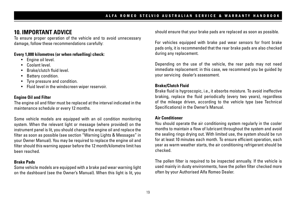## **10. IMPORTANT ADVICE**

To ensure proper operation of the vehicle and to avoid unnecessary damage, follow these recommendations carefully:

#### **Every 1,000 kilometres (or when refuelling) check:**

- Engine oil level.
- Coolant level.
- Brake/clutch fluid level.
- Battery condition.
- Tyre pressure and condition.
- Fluid level in the windscreen wiper reservoir.

#### **Engine Oil and Filter**

The engine oil and filter must be replaced at the interval indicated in the maintenance schedule or every 12 months.

Some vehicle models are equipped with an oil condition monitoring system. When the relevant light or message (where provided) on the instrument panel is lit, you should change the engine oil and replace the filter as soon as possible (see section "Warning Lights & Messages" in your Owner Manual). You may be required to replace the engine oil and filter should this warning appear before the 12 month/kilometre limit has been reached.

#### **Brake Pads**

Some vehicle models are equipped with a brake pad wear warning light on the dashboard (see the Owner's Manual). When this light is lit, you should ensure that your brake pads are replaced as soon as possible.

For vehicles equipped with brake pad wear sensors for front brake pads only, it is recommended that the rear brake pads are also checked during any replacement.

Depending on the use of the vehicle, the rear pads may not need immediate replacement: in this case, we recommend you be guided by your servicing dealer's assessment.

#### **Brake/Clutch Fluid**

Brake fluid is hygroscopic, i.e., it absorbs moisture. To avoid ineffective braking, replace the fluid periodically (every two years), regardless of the mileage driven, according to the vehicle type (see Technical Specifications) in the Owner's Manual.

#### **Air Conditioner**

You should operate the air conditioning system regularly in the cooler months to maintain a flow of lubricant throughout the system and avoid the sealing rings drying out. With limited use, the system should be run for at least 10 minutes each month. To ensure efficient operation, each year as warm weather starts, the air conditioning refrigerant should be checked.

The pollen filter is required to be inspected annually. If the vehicle is used mainly in dusty environments, have the pollen filter checked more often by your Authorised Alfa Romeo Dealer.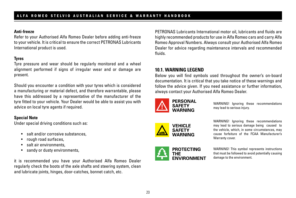#### **Anti-freeze**

Refer to your Authorised Alfa Romeo Dealer before adding anti-freeze to your vehicle. It is critical to ensure the correct PETRONAS Lubricants International product is used.

### **Tyres**

Tyre pressure and wear should be regularly monitored and a wheel alignment performed if signs of irregular wear and or damage are present.

Should you encounter a condition with your tyres which is considered a manufacturing or material defect, and therefore warrantable, please have this addressed by a representative of the manufacturer of the tyre fitted to your vehicle. Your Dealer would be able to assist you with advice on local tyre agents if required.

#### **Special Note**

Under special driving conditions such as:

- salt and/or corrosive substances,
- rough road surfaces,
- salt air environments,
- sandy or dusty environments,

it is recommended you have your Authorised Alfa Romeo Dealer regularly check the boots of the axle shafts and steering system, clean and lubricate joints, hinges, door-catches, bonnet catch, etc.

PETRONAS Lubricants International motor oil, lubricants and fluids are highly recommended products for use in Alfa Romeo cars and carry Alfa Romeo Approval Numbers. Always consult your Authorised Alfa Romeo Dealer for advice regarding maintenance intervals and recommended fluids.

### **10.1. WARNING LEGEND**

Below you will find symbols used throughout the owner's on-board documentation. It is critical that you take notice of these warnings and follow the advice given. If you need assistance or further information, always contact your Authorised Alfa Romeo Dealer.



WARNING! Ignoring these recommendations may lead to serious injury.





WARNING! Ignoring these recommendations may lead to serious damage being caused to the vehicle, which, in some circumstances, may cause forfeiture of the FCAA Manufacturer's Warranty cover.

WARNING! This symbol represents instructions that must be followed to avoid potentially causing damage to the environment.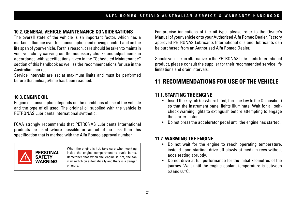### **10.2. GENERAL VEHICLE MAINTENANCE CONSIDERATIONS**

The overall state of the vehicle is an important factor, which has a marked influence over fuel consumption and driving comfort and on the life span of your vehicle. For this reason, care should be taken to maintain your vehicle by carrying out the necessary checks and adjustments in accordance with specifications given in the "Scheduled Maintenance" section of this handbook as well as the recommendations for use in the Australian market.

Service intervals are set at maximum limits and must be performed before that mileage/time has been reached.

#### **10.3. ENGINE OIL**

Engine oil consumption depends on the conditions of use of the vehicle and the type of oil used. The original oil supplied with the vehicle is PETRONAS Lubricants International synthetic.

FCAA strongly recommends that PETRONAS Lubricants International products be used where possible or an oil of no less than this specification that is marked with the Alfa Romeo approval number.



When the engine is hot, take care when working inside the engine compartment to avoid burns. Remember that when the engine is hot, the fan may switch on automatically and there is a danger of injury.

For precise indications of the oil type, please refer to the Owner's Manual of your vehicle or to your Authorised Alfa Romeo Dealer. Factory approved PETRONAS Lubricants International oils and lubricants can be purchased from an Authorised Alfa Romeo Dealer.

Should you use an alternative to the PETRONAS Lubricants International product, please consult the supplier for their recommended service life limitations and drain intervals.

## **11. RECOMMENDATIONS FOR USE OF THE VEHICLE**

#### **11.1. STARTING THE ENGINE**

- Insert the key fob (or where fitted, turn the key to the On position) so that the instrument panel lights illuminate. Wait for all selfcheck warning lights to extinguish before attempting to engage the starter motor.
- Do not press the accelerator pedal until the engine has started.

### **11.2. WARMING THE ENGINE**

- Do not wait for the engine to reach operating temperature, instead upon starting, drive off slowly at medium revs without accelerating abruptly.
- Do not drive at full performance for the initial kilometres of the journey. Wait until the engine coolant temperature is between 50 and 60°C.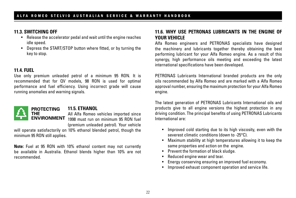#### **11.3. SWITCHING OFF**

- Release the accelerator pedal and wait until the engine reaches idle speed.
- Depress the START/STOP button where fitted, or by turning the key to stop.

### **11.4. FUEL**

Use only premium unleaded petrol of a minimum 95 RON. It is recommended that for QV models, 98 RON is used for optimal performance and fuel efficiency. Using incorrect grade will cause running anomalies and warning signals.



### **11.5. ETHANOL**

All Alfa Romeo vehicles imported since **ENVIRONMENT** 1998 must run on minimum 95 RON fuel (premium unleaded petrol). Your vehicle

will operate satisfactorily on 10% ethanol blended petrol, though the minimum 95 RON still applies.

**Note:** Fuel at 95 RON with 10% ethanol content may not currently be available in Australia. Ethanol blends higher than 10% are not recommended.

### **11.6. WHY USE PETRONAS LUBRICANTS IN THE ENGINE OF YOUR VEHICLE**

Alfa Romeo engineers and PETRONAS specialists have designed the machinery and lubricants together thereby obtaining the best performing lubricant for your Alfa Romeo engine. As a result of this synergy, high performance oils meeting and exceeding the latest international specifications have been developed.

PETRONAS Lubricants International branded products are the only oils recommended by Alfa Romeo and are marked with a Alfa Romeo approval number, ensuring the maximum protection for your Alfa Romeo engine.

The latest generation of PETRONAS Lubricants International oils and products give to all engine versions the highest protection in any driving condition. The principal benefits of using PETRONAS Lubricants International are:

- Improved cold starting due to its high viscosity, even with the severest climatic conditions (down to -25°C).
- Maximum stability at high temperatures allowing it to keep the same properties and action on the engine.
- Prevent the formation of black sludge.
- Reduced engine wear and tear.
- Energy conserving ensuring an improved fuel economy.
- Improved exhaust component operation and service life.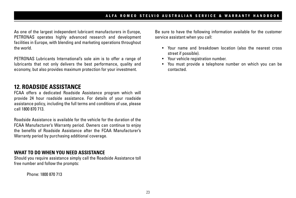As one of the largest independent lubricant manufacturers in Europe, PETRONAS operates highly advanced research and development facilities in Europe, with blending and marketing operations throughout the world.

PETRONAS Lubricants International's sole aim is to offer a range of lubricants that not only delivers the best performance, quality and economy, but also provides maximum protection for your investment.

## **12. ROADSIDE ASSISTANCE**

FCAA offers a dedicated Roadside Assistance program which will provide 24 hour roadside assistance. For details of your roadside assistance policy, including the full terms and conditions of use, please call 1800 870 713.

Roadside Assistance is available for the vehicle for the duration of the FCAA Manufacturer's Warranty period. Owners can continue to enjoy the benefits of Roadside Assistance after the FCAA Manufacturer's Warranty period by purchasing additional coverage.

### **WHAT TO DO WHEN YOU NEED ASSISTANCE**

Should you require assistance simply call the Roadside Assistance toll free number and follow the prompts:

Phone: 1800 870 713

Be sure to have the following information available for the customer service assistant when you call:

- Your name and breakdown location (also the nearest cross street if possible).
- Your vehicle registration number.
- You must provide a telephone number on which you can be contacted.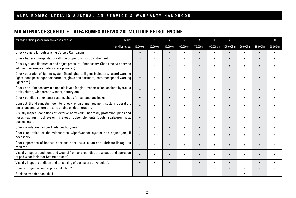### **MAINTENANCE SCHEDULE – ALFA ROMEO STELVIO 2.0L MULTIAIR PETROL ENGINE**

| Mileage or time passed (whichever comes first)                                                                                                                                              | Years:         |           | $\overline{2}$ | 3         |           | 5.        | 6         | 7         | 8         | 9         | 10        |
|---------------------------------------------------------------------------------------------------------------------------------------------------------------------------------------------|----------------|-----------|----------------|-----------|-----------|-----------|-----------|-----------|-----------|-----------|-----------|
|                                                                                                                                                                                             | or Kilometres: | 15,000km  | 30,000km       | 45,000km  | 60,000km  | 75,000km  | 90,000km  | 105,000km | 120,000km | 135,000km | 150,000km |
| Check vehicle for outstanding Service Campaigns.                                                                                                                                            |                | $\bullet$ | ٠              | $\bullet$ | $\bullet$ |           | $\bullet$ | $\bullet$ | ٠         | $\bullet$ | $\bullet$ |
| Check battery charge status with the proper diagnostic instrument.                                                                                                                          |                | $\bullet$ | ٠              | $\bullet$ | $\bullet$ |           | ٠         | $\bullet$ | $\bullet$ | $\bullet$ | $\bullet$ |
| Check tyre condition/wear and adjust pressure, if necessary. Check the tyre service<br>kit conditions/expiry date (where provided).                                                         |                |           |                | $\bullet$ |           |           |           | $\bullet$ |           |           |           |
| Check operation of lighting system (headlights, taillights, indicators, hazard warning<br>lights, boot, passenger compartment, glove compartment, instrument panel warning<br>lights etc.). |                |           |                |           |           |           |           |           |           |           |           |
| Check and, if necessary, top up fluid levels (engine, transmission, coolant, hydraulic<br>brake/clutch, windscreen washer, battery etc.).                                                   |                |           |                | ٠         | ٠         |           |           |           |           |           |           |
| Check condition of exhaust system, check for damage and leaks.                                                                                                                              |                | $\bullet$ | ٠              | $\bullet$ | $\bullet$ |           | ٠         | $\bullet$ | $\bullet$ | $\bullet$ | $\bullet$ |
| Connect the diagnostic tool, to check engine management system operation,<br>emissions and, where present, engine oil deterioration.                                                        |                |           |                | $\bullet$ | $\bullet$ |           |           | $\bullet$ |           |           |           |
| Visually inspect conditions of: exterior bodywork, underbody protection, pipes and<br>hoses (exhaust, fuel system, brakes), rubber elements (boots, seals/grommets,<br>bushes, etc.).       |                | $\bullet$ |                | $\bullet$ | $\bullet$ |           |           | $\bullet$ |           |           |           |
| Check windscreen wiper blade position/wear.                                                                                                                                                 |                | $\bullet$ | $\bullet$      | $\bullet$ | $\bullet$ | $\bullet$ | ٠         | $\bullet$ | $\bullet$ | $\bullet$ | ٠         |
| Check operation of the windscreen wiper/washer system and adjust jets, if<br>necessary.                                                                                                     |                |           |                | $\bullet$ | $\bullet$ |           |           | $\bullet$ |           | $\bullet$ | $\bullet$ |
| Check operation of bonnet, boot and door locks, clean and lubricate linkage as<br>required.                                                                                                 |                | $\bullet$ |                |           |           |           |           |           |           |           |           |
| Visually inspect conditions and wear of front and rear disc brake pads and operation<br>of pad wear indicator (where present).                                                              |                | $\bullet$ |                | $\bullet$ | ٠         |           |           | $\bullet$ |           |           |           |
| Visually inspect condition and tensioning of accessory drive belt(s).                                                                                                                       |                | $\bullet$ | ٠              | $\bullet$ |           | ٠         | ٠         | $\bullet$ |           | $\bullet$ | $\bullet$ |
| Change engine oil and replace oil filter. (1)                                                                                                                                               |                | $\bullet$ | ٠              | ٠         |           |           | ٠         | $\bullet$ | ٠         | $\bullet$ |           |
| Replace transfer case fluid.                                                                                                                                                                |                |           |                |           |           |           |           |           |           |           |           |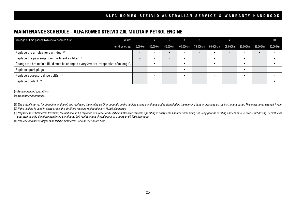#### **MAINTENANCE SCHEDULE – ALFA ROMEO STELVIO 2.0L MULTIAIR PETROL ENGINE**

| Years:<br>Mileage or time passed (whichever comes first)                              |          |                                                                                               |         |         | 2 3 4 5  | 6       |         | 8       |         | 10 |
|---------------------------------------------------------------------------------------|----------|-----------------------------------------------------------------------------------------------|---------|---------|----------|---------|---------|---------|---------|----|
| or Kilometres:                                                                        |          | 15,000km 30,000km 45,000km 60,000km 75,000km 90,000km 105,000km 120,000km 135,000km 150,000km |         |         |          |         |         |         |         |    |
| Replace the air cleaner cartridge. (2)                                                | $\Omega$ | $\Omega$                                                                                      |         | $\circ$ | $\Omega$ |         | $\circ$ | $\circ$ |         |    |
| Replace the passenger compartment air filter. (2)                                     | $\circ$  |                                                                                               | $\circ$ |         | $\Omega$ |         | $\circ$ |         | $\circ$ |    |
| Change the brake fluid (fluid must be changed every 2 years irrespective of mileage). |          |                                                                                               |         |         |          |         |         |         |         |    |
| Replace spark plugs.                                                                  |          |                                                                                               |         |         |          |         |         |         |         |    |
| Replace accessory drive belt(s). (3)                                                  |          | $\Omega$                                                                                      |         |         |          | $\circ$ |         |         |         |    |
| Replace coolant. (4)                                                                  |          |                                                                                               |         |         |          |         |         |         |         |    |

( ) *Recommended operations.*

(•) *Mandatory operations.*

(1) The actual interval for changing engine oil and replacing the engine oil filter depends on the vehicle usage conditions and is signalled by the warning light or message on the instrument panel. This must never exceed 1 (2) *If the vehicle is used in dusty areas, the air filters must be replaced every 15,000 kilometres.*

(3) Regardless of kilometres travelled, the belt should be replaced at 2 years or 30,000 kilometres for vehicles operating in dusty areas and/or demanding use, long periods of idling and continuous stop-start driving. For *operated outside the aforementioned conditions, belt replacement should occur at 4 years or 60,000 kilometres.*

(4) *Replace coolant at 10 years or 150,000 kilometres, whichever occurs first.*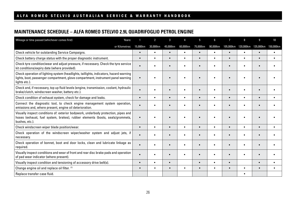### **MAINTENANCE SCHEDULE – ALFA ROMEO STELVIO 2.9L QUADRIFOGLIO PETROL ENGINE**

| Mileage or time passed (whichever comes first)                                                                                                                                              | Years:         |           | $\overline{2}$ | 3         |           | 5.        | 6         | 7         | 8         | 9         | 10        |
|---------------------------------------------------------------------------------------------------------------------------------------------------------------------------------------------|----------------|-----------|----------------|-----------|-----------|-----------|-----------|-----------|-----------|-----------|-----------|
|                                                                                                                                                                                             | or Kilometres: | 15,000km  | 30,000km       | 45,000km  | 60,000km  | 75,000km  | 90,000km  | 105,000km | 120,000km | 135,000km | 150,000km |
| Check vehicle for outstanding Service Campaigns.                                                                                                                                            |                | $\bullet$ | ٠              | $\bullet$ | $\bullet$ |           | $\bullet$ | $\bullet$ | ٠         | $\bullet$ | $\bullet$ |
| Check battery charge status with the proper diagnostic instrument.                                                                                                                          |                | $\bullet$ | ٠              | $\bullet$ | $\bullet$ |           | ٠         | $\bullet$ | $\bullet$ | $\bullet$ | $\bullet$ |
| Check tyre condition/wear and adjust pressure, if necessary. Check the tyre service<br>kit conditions/expiry date (where provided).                                                         |                |           |                | $\bullet$ |           |           |           | $\bullet$ |           |           |           |
| Check operation of lighting system (headlights, taillights, indicators, hazard warning<br>lights, boot, passenger compartment, glove compartment, instrument panel warning<br>lights etc.). |                |           |                |           |           |           |           |           |           |           |           |
| Check and, if necessary, top up fluid levels (engine, transmission, coolant, hydraulic<br>brake/clutch, windscreen washer, battery etc.).                                                   |                |           |                | ٠         | ٠         |           |           |           |           |           |           |
| Check condition of exhaust system, check for damage and leaks.                                                                                                                              |                | $\bullet$ | ٠              | $\bullet$ | $\bullet$ |           | ٠         | $\bullet$ | $\bullet$ | $\bullet$ | $\bullet$ |
| Connect the diagnostic tool, to check engine management system operation,<br>emissions and, where present, engine oil deterioration.                                                        |                |           |                | $\bullet$ | ٠         |           |           | $\bullet$ |           |           |           |
| Visually inspect conditions of: exterior bodywork, underbody protection, pipes and<br>hoses (exhaust, fuel system, brakes), rubber elements (boots, seals/grommets,<br>bushes, etc.).       |                | $\bullet$ |                | $\bullet$ | ٠         |           |           | $\bullet$ |           |           |           |
| Check windscreen wiper blade position/wear.                                                                                                                                                 |                | $\bullet$ | $\bullet$      | $\bullet$ | $\bullet$ | $\bullet$ | ٠         | $\bullet$ | $\bullet$ | $\bullet$ | ٠         |
| Check operation of the windscreen wiper/washer system and adjust jets, if<br>necessary.                                                                                                     |                |           |                | $\bullet$ | $\bullet$ |           |           | $\bullet$ |           | $\bullet$ | $\bullet$ |
| Check operation of bonnet, boot and door locks, clean and lubricate linkage as<br>required.                                                                                                 |                | $\bullet$ |                |           |           |           |           |           |           |           |           |
| Visually inspect conditions and wear of front and rear disc brake pads and operation<br>of pad wear indicator (where present).                                                              |                | $\bullet$ |                | $\bullet$ | ٠         |           |           | $\bullet$ |           |           |           |
| Visually inspect condition and tensioning of accessory drive belt(s).                                                                                                                       |                | $\bullet$ | ٠              | $\bullet$ |           | ٠         | ٠         | $\bullet$ |           | $\bullet$ | $\bullet$ |
| Change engine oil and replace oil filter. (1)                                                                                                                                               |                | $\bullet$ | ٠              | ٠         |           |           | ٠         | $\bullet$ | ٠         | $\bullet$ |           |
| Replace transfer case fluid.                                                                                                                                                                |                |           |                |           |           |           |           |           |           |           |           |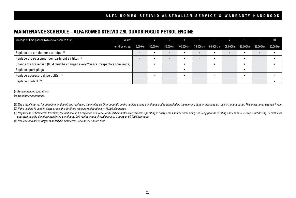### **MAINTENANCE SCHEDULE – ALFA ROMEO STELVIO 2.9L QUADRIFOGLIO PETROL ENGINE**

| Mileage or time passed (whichever comes first)<br>Years:                                                     | $\overline{2}$ | 3 4 5    |         | 6       |         | 8 |         | 10 |
|--------------------------------------------------------------------------------------------------------------|----------------|----------|---------|---------|---------|---|---------|----|
| or Kilometres: 15,000km 30,000km 45,000km 60,000km 75,000km 90,000km 105,000km 120,000km 135,000km 150,000km |                |          |         |         |         |   |         |    |
| Replace the air cleaner cartridge. (2)                                                                       |                | $\circ$  | $\circ$ |         | $\circ$ |   | $\circ$ |    |
| Replace the passenger compartment air filter. <sup>(2)</sup>                                                 |                | $\Omega$ | $\circ$ |         | $\circ$ |   | $\circ$ |    |
| Change the brake fluid (fluid must be changed every 2 years irrespective of mileage).                        |                |          |         |         |         |   |         |    |
| Replace spark plugs.                                                                                         |                |          |         |         |         |   |         |    |
| Replace accessory drive belt(s). (3)                                                                         | $\Omega$       |          |         | $\circ$ |         |   |         |    |
| Replace coolant. (4)                                                                                         |                |          |         |         |         |   |         |    |

( ) *Recommended operations.*

(•) *Mandatory operations.*

(1) The actual interval for changing engine oil and replacing the engine oil filter depends on the vehicle usage conditions and is signalled by the warning light or message on the instrument panel. This must never exceed 1 (2) *If the vehicle is used in dusty areas, the air filters must be replaced every 15,000 kilometres.*

(3) Regardless of kilometres travelled, the belt should be replaced at 2 years or 30,000 kilometres for vehicles operating in dusty areas and/or demanding use, long periods of idling and continuous stop-start driving. For *operated outside the aforementioned conditions, belt replacement should occur at 4 years or 60,000 kilometres.*

(4) *Replace coolant at 10 years or 150,000 kilometres, whichever occurs first.*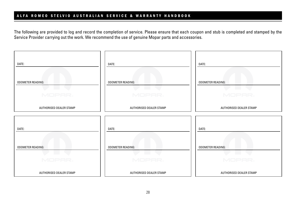The following are provided to log and record the completion of service. Please ensure that each coupon and stub is completed and stamped by the Service Provider carrying out the work. We recommend the use of genuine Mopar parts and accessories.

| DATE:                                       | DATE:                             | DATE:                                       |
|---------------------------------------------|-----------------------------------|---------------------------------------------|
| <b>ODOMETER READING:</b><br><b>Contract</b> | <b>ODOMETER READING:</b>          | <b>ODOMETER READING:</b><br><b>Contract</b> |
| MOPAR,<br>AUTHORISED DEALER STAMP           | MOPAR,<br>AUTHORISED DEALER STAMP | MOPAR,<br>AUTHORISED DEALER STAMP           |
|                                             |                                   |                                             |
| DATE:                                       | DATE:                             | DATE:                                       |
| <b>ODOMETER READING:</b>                    | <b>ODOMETER READING:</b>          | <b>ODOMETER READING:</b>                    |
| MOPAR.                                      | MOPAR,                            | MOPAR,                                      |
| AUTHORISED DEALER STAMP                     | AUTHORISED DEALER STAMP           | AUTHORISED DEALER STAMP                     |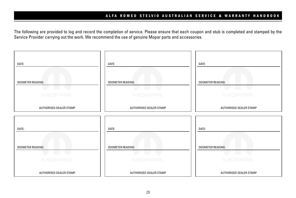The following are provided to log and record the completion of service. Please ensure that each coupon and stub is completed and stamped by the Service Provider carrying out the work. We recommend the use of genuine Mopar parts and accessories.

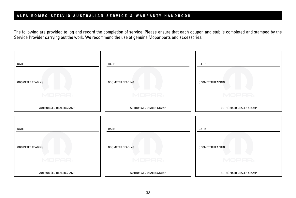The following are provided to log and record the completion of service. Please ensure that each coupon and stub is completed and stamped by the Service Provider carrying out the work. We recommend the use of genuine Mopar parts and accessories.

| DATE:                                                 | DATE:                                      | DATE:                              |
|-------------------------------------------------------|--------------------------------------------|------------------------------------|
| <b>ODOMETER READING:</b><br><b>Contract</b><br>MOPAR, | <b>ODOMETER READING:</b><br>a sa<br>MOPAR, | <b>ODOMETER READING:</b><br>MOPAR, |
| AUTHORISED DEALER STAMP                               | AUTHORISED DEALER STAMP                    | AUTHORISED DEALER STAMP            |
| DATE:                                                 | DATE:                                      | DATE:                              |
| <b>ODOMETER READING:</b><br>MOPAR.                    | <b>ODOMETER READING:</b><br>MOPAR,         | <b>ODOMETER READING:</b><br>MOPAR. |
| AUTHORISED DEALER STAMP                               | AUTHORISED DEALER STAMP                    | AUTHORISED DEALER STAMP            |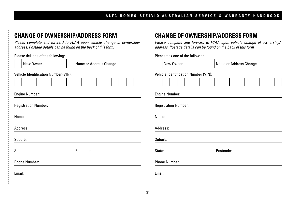| <b>CHANGE OF OWNERSHIP/ADDRESS FORM</b><br>Please complete and forward to FCAA upon vehicle change of ownership/<br>address. Postage details can be found on the back of this form. | <b>CHANGE OF OWNERSHIP/ADDRESS FORM</b><br>Please complete and forward to FCAA upon vehicle change of ownership,<br>address. Postage details can be found on the back of this form. |
|-------------------------------------------------------------------------------------------------------------------------------------------------------------------------------------|-------------------------------------------------------------------------------------------------------------------------------------------------------------------------------------|
| Please tick one of the following:<br>New Owner<br>Name or Address Change                                                                                                            | Please tick one of the following:<br>New Owner<br>Name or Address Change                                                                                                            |
| <b>Vehicle Identification Number (VIN):</b>                                                                                                                                         | Vehicle Identification Number (VIN):                                                                                                                                                |
|                                                                                                                                                                                     |                                                                                                                                                                                     |
| <b>Engine Number:</b><br><b>Registration Number:</b><br>Name:                                                                                                                       | <b>Engine Number:</b><br><b>Registration Number:</b><br>Name:                                                                                                                       |
| Address:                                                                                                                                                                            | Address:                                                                                                                                                                            |
| Suburb:                                                                                                                                                                             | Suburb:                                                                                                                                                                             |
| Postcode:<br>State:                                                                                                                                                                 | State:<br>Postcode:                                                                                                                                                                 |
| <b>Phone Number:</b>                                                                                                                                                                | <b>Phone Number:</b>                                                                                                                                                                |
| Email:                                                                                                                                                                              | Email:                                                                                                                                                                              |
|                                                                                                                                                                                     |                                                                                                                                                                                     |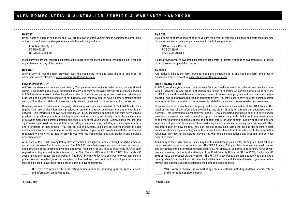#### **BY POST**

If your name or address has changed or you are the owner of this vehicle please complete the other side of this form and mail in a stamped envelope to the following address:

FCA Australia Pty Ltd PO BOX 23267 Docklands VIC 3008

Please provide proof of ownership if completing this form to register a change of ownership e.g., a receipt of purchase or a copy of the contract.

#### **BY EMAIL**

Alternatively, fill out the form provided, scan the completed form and send the form and proof of ownership where relevant to: auscustomercare@fcagroup.com

#### **FCAA PRIVACY POLICY**

At FCAA, we share your concern over privacy. Your personal information is collected and may be shared within FCAA and its global group, authorised dealers, and third parties who provide products and services to FCAA or its authorised dealers for administration of the warranty program and customer satisfaction program, and as otherwise required or permitted by law. You may elect to have no other communication with us, other than in relation to these warranty related issues and customer satisfaction measures.

However, we wish to maintain an on-going relationship with you, as a member of the FCAA family. This requires the use of the information provided to us, either directly or through our authorised dealer network. This information allows both your dealer, FCAA, associated companies and third party service providers to provide you with continuing support and assistance, and it helps us in the development of relevant marketing communications and special offers for your benefit. Simply check the box and sign below if you wish to receive future marketing communications, including updates, special offers and information on new models. You can opt-out at any time, using the opt-out mechanism in such communications or by contacting us on the details below. If you do not provide us with the information requested, we may not be able to provide you with the communications and products and services described above.

A full copy of the FCAA Privacy Policy may be obtained through your dealer, through an FCAA office or on our website www.fiatchrysler.com.au. The FCAA Privacy Policy explains how you can seek access and correction of the information we hold about you. Put simply, all you have to do is notify FCAA of your request in writing marked to the attention of the Chief Security Officer at PO Box 23267, Docklands VIC 3008 or make the request via our website. The FCAA Privacy Policy also sets out how you can make a privacy related complaint, how that complaint will be dealt with and the extent to which your information may be disclosed to overseas recipients, including relevant countries.

**YES,** I wish to receive future marketing communications, including updates, special offers and information on new models.

#### **BY POST**

If your name or address has changed or you are the owner of this vehicle please complete the other side of this form and mail in a stamped envelope to the following address:

FCA Australia Pty Ltd PO BOX 23267 Docklands VIC 3008

Please provide proof of ownership if completing this form to register a change of ownership e.g., a receipt of purchase or a copy of the contract.

#### **BY EMAIL**

Alternatively, fill out the form provided, scan the completed form and send the form and proof of ownership where relevant to: auscustomercare@fcagroup.com

#### **FCAA PRIVACY POLICY**

At FCAA, we share your concern over privacy. Your personal information is collected and may be shared within FCAA and its global group, authorised dealers, and third parties who provide products and services to FCAA or its authorised dealers for administration of the warranty program and customer satisfaction program, and as otherwise required or permitted by law. You may elect to have no other communication with us, other than in relation to these warranty related issues and customer satisfaction measures.

However, we wish to maintain an on-going relationship with you, as a member of the FCAA family. This requires the use of the information provided to us, either directly or through our authorised dealer network. This information allows both your dealer, FCAA, associated companies and third party service providers to provide you with continuing support and assistance, and it helps us in the development of relevant marketing communications and special offers for your benefit. Simply check the box and sign below if you wish to receive future marketing communications, including updates, special offers and information on new models. You can opt-out at any time, using the opt-out mechanism in such communications or by contacting us on the details below. If you do not provide us with the information requested, we may not be able to provide you with the communications and products and services described above.

A full copy of the FCAA Privacy Policy may be obtained through your dealer, through an FCAA office or on our website www.fiatchrysler.com.au. The FCAA Privacy Policy explains how you can seek access and correction of the information we hold about you. Put simply, all you have to do is notify FCAA of your request in writing marked to the attention of the Chief Security Officer at PO Box 23267, Docklands VIC 3008 or make the request via our website. The FCAA Privacy Policy also sets out how you can make a privacy related complaint, how that complaint will be dealt with and the extent to which your information may be disclosed to overseas recipients, including relevant countries.

**YES,** I wish to receive future marketing communications, including updates, special offers and information on new models.

SIGNED BY:

SIGNED BY: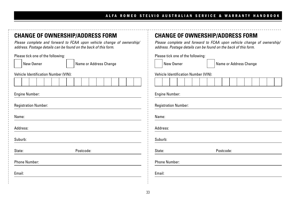| <b>CHANGE OF OWNERSHIP/ADDRESS FORM</b><br>Please complete and forward to FCAA upon vehicle change of ownership/<br>address. Postage details can be found on the back of this form. | <b>CHANGE OF OWNERSHIP/ADDRESS FORM</b><br>Please complete and forward to FCAA upon vehicle change of ownership,<br>address. Postage details can be found on the back of this form. |
|-------------------------------------------------------------------------------------------------------------------------------------------------------------------------------------|-------------------------------------------------------------------------------------------------------------------------------------------------------------------------------------|
| Please tick one of the following:<br>New Owner<br>Name or Address Change                                                                                                            | Please tick one of the following:<br>New Owner<br>Name or Address Change                                                                                                            |
| Vehicle Identification Number (VIN):                                                                                                                                                | Vehicle Identification Number (VIN):                                                                                                                                                |
|                                                                                                                                                                                     |                                                                                                                                                                                     |
| <b>Engine Number:</b>                                                                                                                                                               | <b>Engine Number:</b>                                                                                                                                                               |
| <b>Registration Number:</b>                                                                                                                                                         | <b>Registration Number:</b>                                                                                                                                                         |
| Name:                                                                                                                                                                               | Name:                                                                                                                                                                               |
| Address:                                                                                                                                                                            | Address:                                                                                                                                                                            |
| Suburb:                                                                                                                                                                             | Suburb:                                                                                                                                                                             |
| Postcode:<br>State:                                                                                                                                                                 | State:<br>Postcode:                                                                                                                                                                 |
| <b>Phone Number:</b>                                                                                                                                                                | <b>Phone Number:</b>                                                                                                                                                                |
| Email:                                                                                                                                                                              | Email:                                                                                                                                                                              |
|                                                                                                                                                                                     |                                                                                                                                                                                     |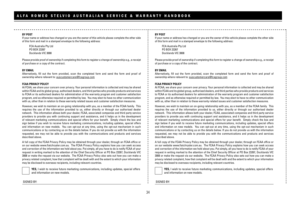#### **BY POST**

If your name or address has changed or you are the owner of this vehicle please complete the other side of this form and mail in a stamped envelope to the following address:

FCA Australia Pty Ltd PO BOX 23267 Docklands VIC 3008

Please provide proof of ownership if completing this form to register a change of ownership e.g., a receipt of purchase or a copy of the contract.

#### **BY EMAIL**

Alternatively, fill out the form provided, scan the completed form and send the form and proof of ownership where relevant to: auscustomercare@fcagroup.com

#### **FCAA PRIVACY POLICY**

At FCAA, we share your concern over privacy. Your personal information is collected and may be shared within FCAA and its global group, authorised dealers, and third parties who provide products and services to FCAA or its authorised dealers for administration of the warranty program and customer satisfaction program, and as otherwise required or permitted by law. You may elect to have no other communication with us, other than in relation to these warranty related issues and customer satisfaction measures.

However, we wish to maintain an on-going relationship with you, as a member of the FCAA family. This requires the use of the information provided to us, either directly or through our authorised dealer network. This information allows both your dealer, FCAA, associated companies and third party service providers to provide you with continuing support and assistance, and it helps us in the development of relevant marketing communications and special offers for your benefit. Simply check the box and sign below if you wish to receive future marketing communications, including updates, special offers and information on new models. You can opt-out at any time, using the opt-out mechanism in such communications or by contacting us on the details below. If you do not provide us with the information requested, we may not be able to provide you with the communications and products and services described above.

A full copy of the FCAA Privacy Policy may be obtained through your dealer, through an FCAA office or on our website www.fiatchrysler.com.au. The FCAA Privacy Policy explains how you can seek access and correction of the information we hold about you. Put simply, all you have to do is notify FCAA of your request in writing marked to the attention of the Chief Security Officer at PO Box 23267, Docklands VIC 3008 or make the request via our website. The FCAA Privacy Policy also sets out how you can make a privacy related complaint, how that complaint will be dealt with and the extent to which your information may be disclosed to overseas recipients, including relevant countries.

**YES,** I wish to receive future marketing communications, including updates, special offers and information on new models.

#### **BY POST**

If your name or address has changed or you are the owner of this vehicle please complete the other side of this form and mail in a stamped envelope to the following address:

FCA Australia Pty Ltd PO BOX 23267 Docklands VIC 3008

Please provide proof of ownership if completing this form to register a change of ownership e.g., a receipt of purchase or a copy of the contract.

#### **BY EMAIL**

Alternatively, fill out the form provided, scan the completed form and send the form and proof of ownership where relevant to: auscustomercare@fcagroup.com

#### **FCAA PRIVACY POLICY**

At FCAA, we share your concern over privacy. Your personal information is collected and may be shared within FCAA and its global group, authorised dealers, and third parties who provide products and services to FCAA or its authorised dealers for administration of the warranty program and customer satisfaction program, and as otherwise required or permitted by law. You may elect to have no other communication with us, other than in relation to these warranty related issues and customer satisfaction measures.

However, we wish to maintain an on-going relationship with you, as a member of the FCAA family. This requires the use of the information provided to us, either directly or through our authorised dealer network. This information allows both your dealer, FCAA, associated companies and third party service providers to provide you with continuing support and assistance, and it helps us in the development of relevant marketing communications and special offers for your benefit. Simply check the box and sign below if you wish to receive future marketing communications, including updates, special offers and information on new models. You can opt-out at any time, using the opt-out mechanism in such communications or by contacting us on the details below. If you do not provide us with the information requested, we may not be able to provide you with the communications and products and services described above.

A full copy of the FCAA Privacy Policy may be obtained through your dealer, through an FCAA office or on our website www.fiatchrysler.com.au. The FCAA Privacy Policy explains how you can seek access and correction of the information we hold about you. Put simply, all you have to do is notify FCAA of your request in writing marked to the attention of the Chief Security Officer at PO Box 23267, Docklands VIC 3008 or make the request via our website. The FCAA Privacy Policy also sets out how you can make a privacy related complaint, how that complaint will be dealt with and the extent to which your information may be disclosed to overseas recipients, including relevant countries.

**YES,** I wish to receive future marketing communications, including updates, special offers and information on new models.

SIGNED BY:

SIGNED BY: